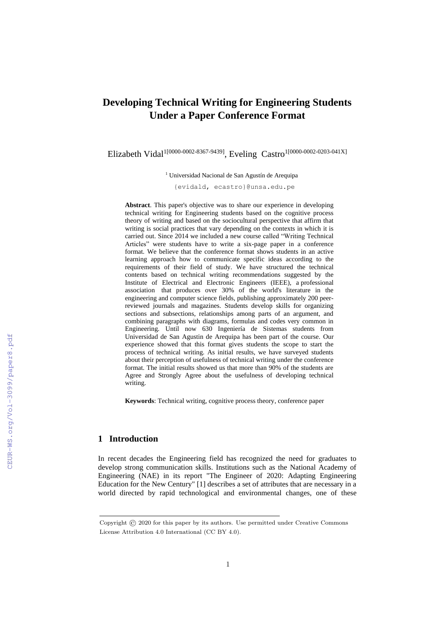# **Developing Technical Writing for Engineering Students Under a Paper Conference Format**

Elizabeth Vidal<sup>1[0000-0002-8367-9439]</sup>, Eveling Castro<sup>1[0000-0002-0203-041X]</sup>

<sup>1</sup> Universidad Nacional de San Agustín de Arequipa

{evidald, ecastro}@unsa.edu.pe

**Abstract**. This paper's objective was to share our experience in developing technical writing for Engineering students based on the cognitive process theory of writing and based on the sociocultural perspective that affirm that writing is social practices that vary depending on the contexts in which it is carried out. Since 2014 we included a new course called "Writing Technical Articles" were students have to write a six-page paper in a conference format. We believe that the conference format shows students in an active learning approach how to communicate specific ideas according to the requirements of their field of study. We have structured the technical contents based on technical writing recommendations suggested by the Institute of Electrical and Electronic Engineers (IEEE), a professional association that produces over 30% of the world's literature in the engineering and computer science fields, publishing approximately 200 peerreviewed journals and magazines. Students develop skills for organizing sections and subsections, relationships among parts of an argument, and combining paragraphs with diagrams, formulas and codes very common in Engineering. Until now 630 Ingeniería de Sistemas students from Universidad de San Agustin de Arequipa has been part of the course. Our experience showed that this format gives students the scope to start the process of technical writing. As initial results, we have surveyed students about their perception of usefulness of technical writing under the conference format. The initial results showed us that more than 90% of the students are Agree and Strongly Agree about the usefulness of developing technical writing.

**Keywords**: Technical writing, cognitive process theory, conference paper

### **1 Introduction**

In recent decades the Engineering field has recognized the need for graduates to develop strong communication skills. Institutions such as the National Academy of Engineering (NAE) in its report "The Engineer of 2020: Adapting Engineering Education for the New Century" [1] describes a set of attributes that are necessary in a world directed by rapid technological and environmental changes, one of these

Copyright © 2020 for this paper by its authors. Use permitted under Creative Commons License Attribution 4.0 International (CC BY 4.0).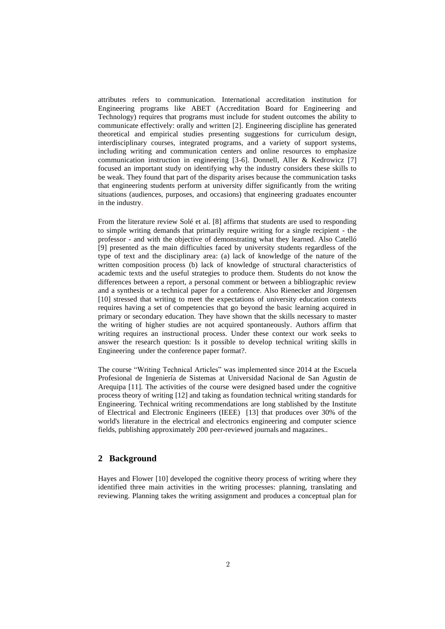attributes refers to communication. International accreditation institution for Engineering programs like ABET (Accreditation Board for Engineering and Technology) requires that programs must include for student outcomes the ability to communicate effectively: orally and written [2]. Engineering discipline has generated theoretical and empirical studies presenting suggestions for curriculum design, interdisciplinary courses, integrated programs, and a variety of support systems, including writing and communication centers and online resources to emphasize communication instruction in engineering [3-6]. Donnell, Aller & Kedrowicz [7] focused an important study on identifying why the industry considers these skills to be weak. They found that part of the disparity arises because the communication tasks that engineering students perform at university differ significantly from the writing situations (audiences, purposes, and occasions) that engineering graduates encounter in the industry.

From the literature review Solé et al. [8] affirms that students are used to responding to simple writing demands that primarily require writing for a single recipient - the professor - and with the objective of demonstrating what they learned. Also Catelló [9] presented as the main difficulties faced by university students regardless of the type of text and the disciplinary area: (a) lack of knowledge of the nature of the written composition process (b) lack of knowledge of structural characteristics of academic texts and the useful strategies to produce them. Students do not know the differences between a report, a personal comment or between a bibliographic review and a synthesis or a technical paper for a conference. Also Rienecker and Jörgensen [10] stressed that writing to meet the expectations of university education contexts requires having a set of competencies that go beyond the basic learning acquired in primary or secondary education. They have shown that the skills necessary to master the writing of higher studies are not acquired spontaneously. Authors affirm that writing requires an instructional process. Under these context our work seeks to answer the research question: Is it possible to develop technical writing skills in Engineering under the conference paper format?.

The course "Writing Technical Articles" was implemented since 2014 at the Escuela Profesional de Ingeniería de Sistemas at Universidad Nacional de San Agustin de Arequipa [11]. The activities of the course were designed based under the cognitive process theory of writing [12] and taking as foundation technical writing standards for Engineering. Technical writing recommendations are long stablished by the Institute of Electrical and Electronic Engineers (IEEE) [13] that produces over 30% of the world's literature in the electrical and electronics engineering and computer science fields, publishing approximately 200 peer-reviewed journals and magazines..

## **2 Background**

Hayes and Flower [10] developed the cognitive theory process of writing where they identified three main activities in the writing processes: planning, translating and reviewing. Planning takes the writing assignment and produces a conceptual plan for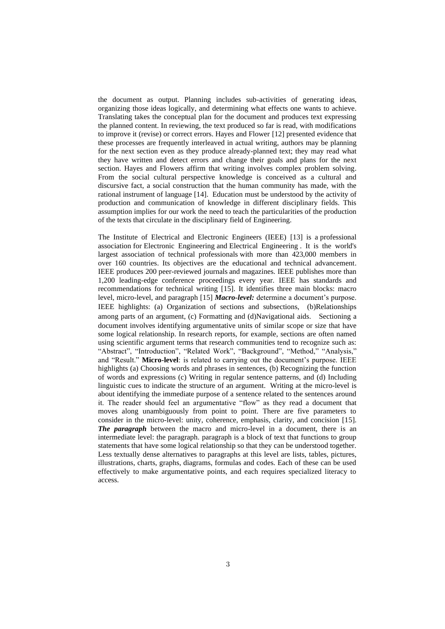the document as output. Planning includes sub-activities of generating ideas, organizing those ideas logically, and determining what effects one wants to achieve. Translating takes the conceptual plan for the document and produces text expressing the planned content. In reviewing, the text produced so far is read, with modifications to improve it (revise) or correct errors. Hayes and Flower [12] presented evidence that these processes are frequently interleaved in actual writing, authors may be planning for the next section even as they produce already-planned text; they may read what they have written and detect errors and change their goals and plans for the next section. Hayes and Flowers affirm that writing involves complex problem solving. From the social cultural perspective knowledge is conceived as a cultural and discursive fact, a social construction that the human community has made, with the rational instrument of language [14]. Education must be understood by the activity of production and communication of knowledge in different disciplinary fields. This assumption implies for our work the need to teach the particularities of the production of the texts that circulate in the disciplinary field of Engineering.

The Institute of Electrical and Electronic Engineers (IEEE) [13] is a professional association for Electronic Engineering and Electrical Engineering . It is the world's largest association of technical professionals with more than 423,000 members in over 160 countries. Its objectives are the educational and technical advancement. IEEE produces 200 peer-reviewed journals and magazines. IEEE publishes more than 1,200 leading-edge conference proceedings every year. IEEE has standards and recommendations for technical writing [15]. It identifies three main blocks: macro level, micro-level, and paragraph [15] *Macro-level:* determine a document's purpose. IEEE highlights: (a) Organization of sections and subsections, (b)Relationships among parts of an argument, (c) Formatting and (d)Navigational aids. Sectioning a document involves identifying argumentative units of similar scope or size that have some logical relationship. In research reports, for example, sections are often named using scientific argument terms that research communities tend to recognize such as: "Abstract", "Introduction", "Related Work", "Background", "Method," "Analysis," and "Result." **Micro-level**: is related to carrying out the document's purpose. IEEE highlights (a) Choosing words and phrases in sentences, (b) Recognizing the function of words and expressions (c) Writing in regular sentence patterns, and (d) Including linguistic cues to indicate the structure of an argument. Writing at the micro-level is about identifying the immediate purpose of a sentence related to the sentences around it. The reader should feel an argumentative "flow" as they read a document that moves along unambiguously from point to point. There are five parameters to consider in the micro-level: unity, coherence, emphasis, clarity, and concision [15]. *The paragraph* between the macro and micro-level in a document, there is an intermediate level: the paragraph. paragraph is a block of text that functions to group statements that have some logical relationship so that they can be understood together. Less textually dense alternatives to paragraphs at this level are lists, tables, pictures, illustrations, charts, graphs, diagrams, formulas and codes. Each of these can be used effectively to make argumentative points, and each requires specialized literacy to access.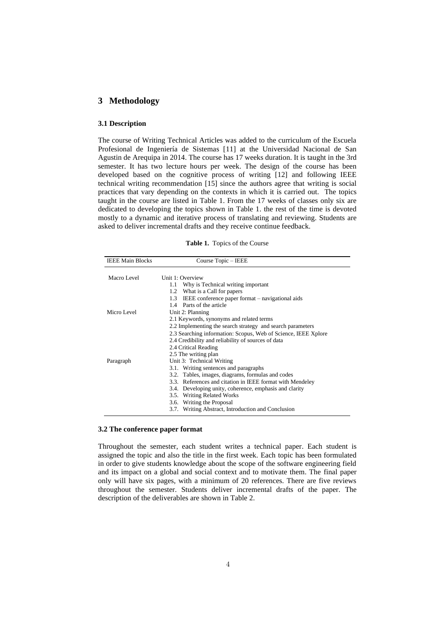#### **3 Methodology**

#### **3.1 Description**

The course of Writing Technical Articles was added to the curriculum of the Escuela Profesional de Ingeniería de Sistemas [11] at the Universidad Nacional de San Agustin de Arequipa in 2014. The course has 17 weeks duration. It is taught in the 3rd semester. It has two lecture hours per week. The design of the course has been developed based on the cognitive process of writing [12] and following IEEE technical writing recommendation [15] since the authors agree that writing is social practices that vary depending on the contexts in which it is carried out. The topics taught in the course are listed in Table 1. From the 17 weeks of classes only six are dedicated to developing the topics shown in Table 1. the rest of the time is devoted mostly to a dynamic and iterative process of translating and reviewing. Students are asked to deliver incremental drafts and they receive continue feedback.

**Table 1.** Topics of the Course

| <b>IEEE Main Blocks</b> | Course Topic – IEEE                                            |  |  |  |  |  |
|-------------------------|----------------------------------------------------------------|--|--|--|--|--|
| Macro Level             | Unit 1: Overview                                               |  |  |  |  |  |
|                         | Why is Technical writing important<br>1.1                      |  |  |  |  |  |
|                         | 1.2 What is a Call for papers                                  |  |  |  |  |  |
|                         | IEEE conference paper format – navigational aids<br>1.3        |  |  |  |  |  |
|                         | 1.4 Parts of the article                                       |  |  |  |  |  |
| Micro Level             | Unit 2: Planning                                               |  |  |  |  |  |
|                         | 2.1 Keywords, synonyms and related terms                       |  |  |  |  |  |
|                         | 2.2 Implementing the search strategy and search parameters     |  |  |  |  |  |
|                         | 2.3 Searching information: Scopus, Web of Science, IEEE Xplore |  |  |  |  |  |
|                         | 2.4 Credibility and reliability of sources of data             |  |  |  |  |  |
|                         | 2.4 Critical Reading                                           |  |  |  |  |  |
|                         | 2.5 The writing plan                                           |  |  |  |  |  |
| Paragraph               | Unit 3: Technical Writing                                      |  |  |  |  |  |
|                         | 3.1. Writing sentences and paragraphs                          |  |  |  |  |  |
|                         | 3.2. Tables, images, diagrams, formulas and codes              |  |  |  |  |  |
|                         | 3.3. References and citation in IEEE format with Mendeley      |  |  |  |  |  |
|                         | 3.4. Developing unity, coherence, emphasis and clarity         |  |  |  |  |  |
|                         | 3.5. Writing Related Works                                     |  |  |  |  |  |
|                         | 3.6. Writing the Proposal                                      |  |  |  |  |  |
|                         | 3.7. Writing Abstract, Introduction and Conclusion             |  |  |  |  |  |
|                         |                                                                |  |  |  |  |  |

#### **3.2 The conference paper format**

Throughout the semester, each student writes a technical paper. Each student is assigned the topic and also the title in the first week. Each topic has been formulated in order to give students knowledge about the scope of the software engineering field and its impact on a global and social context and to motivate them. The final paper only will have six pages, with a minimum of 20 references. There are five reviews throughout the semester. Students deliver incremental drafts of the paper. The description of the deliverables are shown in Table 2.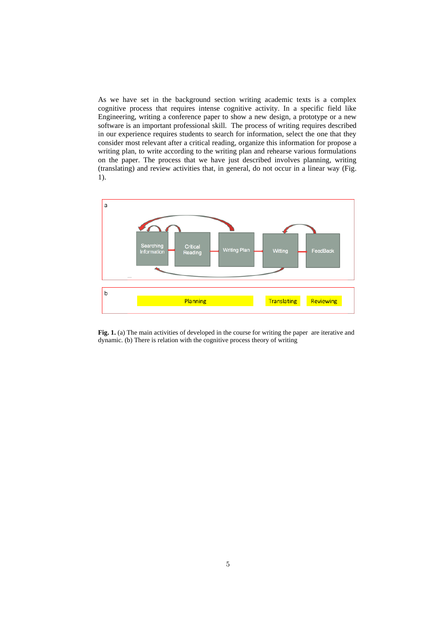As we have set in the background section writing academic texts is a complex cognitive process that requires intense cognitive activity. In a specific field like Engineering, writing a conference paper to show a new design, a prototype or a new software is an important professional skill. The process of writing requires described in our experience requires students to search for information, select the one that they consider most relevant after a critical reading, organize this information for propose a writing plan, to write according to the writing plan and rehearse various formulations on the paper. The process that we have just described involves planning, writing (translating) and review activities that, in general, do not occur in a linear way (Fig. 1).



Fig. 1. (a) The main activities of developed in the course for writing the paper are iterative and dynamic. (b) There is relation with the cognitive process theory of writing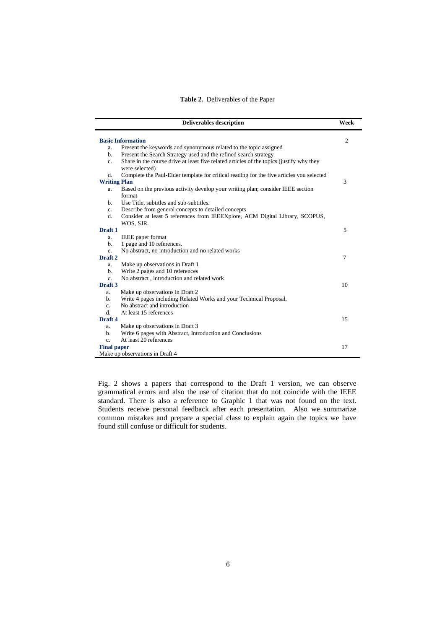#### **Table 2.** Deliverables of the Paper

|                                 | <b>Deliverables description</b>                                                                            | Week           |  |  |  |
|---------------------------------|------------------------------------------------------------------------------------------------------------|----------------|--|--|--|
|                                 |                                                                                                            | $\overline{2}$ |  |  |  |
| <b>Basic Information</b>        |                                                                                                            |                |  |  |  |
| a.                              | Present the keywords and synonymous related to the topic assigned                                          |                |  |  |  |
| b.                              | Present the Search Strategy used and the refined search strategy                                           |                |  |  |  |
| $c_{\cdot}$                     | Share in the course drive at least five related articles of the topics (justify why they<br>were selected) |                |  |  |  |
| d.                              | Complete the Paul-Elder template for critical reading for the five articles you selected                   |                |  |  |  |
| <b>Writing Plan</b>             |                                                                                                            | 3              |  |  |  |
| a.                              | Based on the previous activity develop your writing plan; consider IEEE section<br>format                  |                |  |  |  |
| b.                              | Use Title, subtitles and sub-subtitles.                                                                    |                |  |  |  |
| $c_{\cdot}$                     | Describe from general concepts to detailed concepts                                                        |                |  |  |  |
| d.                              | Consider at least 5 references from IEEEXplore, ACM Digital Library, SCOPUS,                               |                |  |  |  |
|                                 | WOS, SJR.                                                                                                  |                |  |  |  |
| Draft <sub>1</sub>              |                                                                                                            | 5              |  |  |  |
| a.                              | <b>IEEE</b> paper format                                                                                   |                |  |  |  |
| b.                              | 1 page and 10 references.                                                                                  |                |  |  |  |
| $\mathbf{c}$ .                  | No abstract, no introduction and no related works                                                          |                |  |  |  |
| Draft <sub>2</sub>              |                                                                                                            | 7              |  |  |  |
| a.                              | Make up observations in Draft 1                                                                            |                |  |  |  |
| b.                              | Write 2 pages and 10 references                                                                            |                |  |  |  |
| c.                              | No abstract, introduction and related work                                                                 |                |  |  |  |
| Draft <sub>3</sub>              |                                                                                                            | 10             |  |  |  |
| a.                              | Make up observations in Draft 2                                                                            |                |  |  |  |
| b.                              | Write 4 pages including Related Works and your Technical Proposal.                                         |                |  |  |  |
| $c_{-}$                         | No abstract and introduction                                                                               |                |  |  |  |
| d.                              | At least 15 references                                                                                     |                |  |  |  |
| Draft <sub>4</sub>              |                                                                                                            | 15             |  |  |  |
| a.                              | Make up observations in Draft 3                                                                            |                |  |  |  |
| b.                              | Write 6 pages with Abstract, Introduction and Conclusions                                                  |                |  |  |  |
| $\mathbf{c}$ .                  | At least 20 references                                                                                     |                |  |  |  |
| <b>Final paper</b>              |                                                                                                            |                |  |  |  |
| Make up observations in Draft 4 |                                                                                                            |                |  |  |  |

Fig. 2 shows a papers that correspond to the Draft 1 version, we can observe grammatical errors and also the use of citation that do not coincide with the IEEE standard. There is also a reference to Graphic 1 that was not found on the text. Students receive personal feedback after each presentation. Also we summarize common mistakes and prepare a special class to explain again the topics we have found still confuse or difficult for students.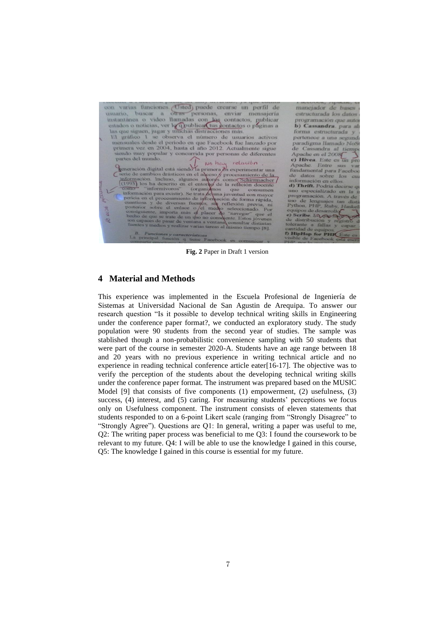

**Fig. 2** Paper in Draft 1 version

#### **4 Material and Methods**

This experience was implemented in the Escuela Profesional de Ingeniería de Sistemas at Universidad Nacional de San Agustin de Arequipa. To answer our research question "Is it possible to develop technical writing skills in Engineering under the conference paper format?, we conducted an exploratory study. The study population were 90 students from the second year of studies. The sample was stablished though a non-probabilistic convenience sampling with 50 students that were part of the course in semester 2020-A. Students have an age range between 18 and 20 years with no previous experience in writing technical article and no experience in reading technical conference article eater[16-17]. The objective was to verify the perception of the students about the developing technical writing skills under the conference paper format. The instrument was prepared based on the MUSIC Model [9] that consists of five components (1) empowerment, (2) usefulness, (3) success, (4) interest, and (5) caring. For measuring students' perceptions we focus only on Usefulness component. The instrument consists of eleven statements that students responded to on a 6-point Likert scale (ranging from "Strongly Disagree" to "Strongly Agree"). Questions are Q1: In general, writing a paper was useful to me, Q2: The writing paper process was beneficial to me Q3: I found the coursework to be relevant to my future. Q4: I will be able to use the knowledge I gained in this course, Q5: The knowledge I gained in this course is essential for my future.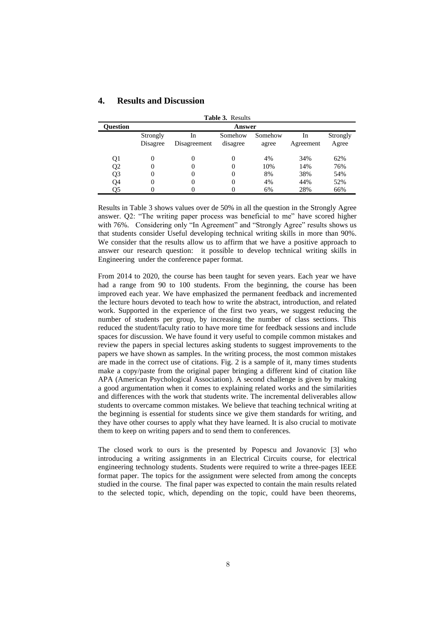| <b>Table 3. Results</b> |          |              |          |         |           |          |  |  |  |  |
|-------------------------|----------|--------------|----------|---------|-----------|----------|--|--|--|--|
| <b>Ouestion</b>         | Answer   |              |          |         |           |          |  |  |  |  |
|                         | Strongly | In           | Somehow  | Somehow | In        | Strongly |  |  |  |  |
|                         | Disagree | Disagreement | disagree | agree   | Agreement | Agree    |  |  |  |  |
| Q1                      |          |              |          | 4%      | 34%       | 62%      |  |  |  |  |
| Q <sub>2</sub>          |          |              | 0        | 10%     | 14%       | 76%      |  |  |  |  |
| Q3                      | 0        |              | 0        | 8%      | 38%       | 54%      |  |  |  |  |
| Q4                      | 0        |              |          | 4%      | 44%       | 52%      |  |  |  |  |
| Q5                      |          |              |          | 6%      | 28%       | 66%      |  |  |  |  |

#### **4. Results and Discussion**

Results in Table 3 shows values over de 50% in all the question in the Strongly Agree answer. Q2: "The writing paper process was beneficial to me" have scored higher with 76%. Considering only "In Agreement" and "Strongly Agree" results shows us that students consider Useful developing technical writing skills in more than 90%. We consider that the results allow us to affirm that we have a positive approach to answer our research question: it possible to develop technical writing skills in Engineering under the conference paper format.

From 2014 to 2020, the course has been taught for seven years. Each year we have had a range from 90 to 100 students. From the beginning, the course has been improved each year. We have emphasized the permanent feedback and incremented the lecture hours devoted to teach how to write the abstract, introduction, and related work. Supported in the experience of the first two years, we suggest reducing the number of students per group, by increasing the number of class sections. This reduced the student/faculty ratio to have more time for feedback sessions and include spaces for discussion. We have found it very useful to compile common mistakes and review the papers in special lectures asking students to suggest improvements to the papers we have shown as samples. In the writing process, the most common mistakes are made in the correct use of citations. Fig. 2 is a sample of it, many times students make a copy/paste from the original paper bringing a different kind of citation like APA (American Psychological Association). A second challenge is given by making a good argumentation when it comes to explaining related works and the similarities and differences with the work that students write. The incremental deliverables allow students to overcame common mistakes. We believe that teaching technical writing at the beginning is essential for students since we give them standards for writing, and they have other courses to apply what they have learned. It is also crucial to motivate them to keep on writing papers and to send them to conferences.

The closed work to ours is the presented by Popescu and Jovanovic [3] who introducing a writing assignments in an Electrical Circuits course, for electrical engineering technology students. Students were required to write a three-pages IEEE format paper. The topics for the assignment were selected from among the concepts studied in the course. The final paper was expected to contain the main results related to the selected topic, which, depending on the topic, could have been theorems,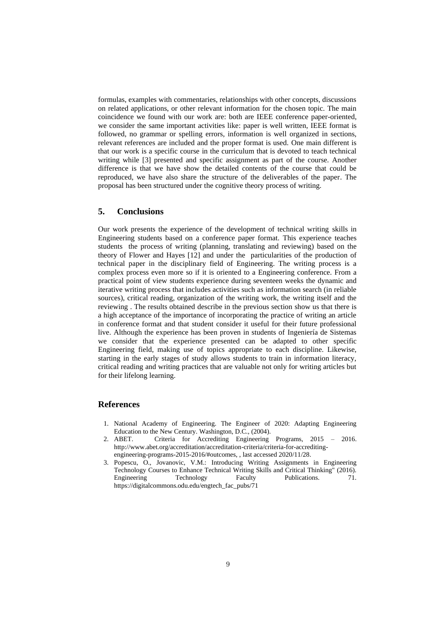formulas, examples with commentaries, relationships with other concepts, discussions on related applications, or other relevant information for the chosen topic. The main coincidence we found with our work are: both are IEEE conference paper-oriented, we consider the same important activities like: paper is well written, IEEE format is followed, no grammar or spelling errors, information is well organized in sections, relevant references are included and the proper format is used. One main different is that our work is a specific course in the curriculum that is devoted to teach technical writing while [3] presented and specific assignment as part of the course. Another difference is that we have show the detailed contents of the course that could be reproduced, we have also share the structure of the deliverables of the paper. The proposal has been structured under the cognitive theory process of writing.

#### **5. Conclusions**

Our work presents the experience of the development of technical writing skills in Engineering students based on a conference paper format. This experience teaches students the process of writing (planning, translating and reviewing) based on the theory of Flower and Hayes [12] and under the particularities of the production of technical paper in the disciplinary field of Engineering. The writing process is a complex process even more so if it is oriented to a Engineering conference. From a practical point of view students experience during seventeen weeks the dynamic and iterative writing process that includes activities such as information search (in reliable sources), critical reading, organization of the writing work, the writing itself and the reviewing . The results obtained describe in the previous section show us that there is a high acceptance of the importance of incorporating the practice of writing an article in conference format and that student consider it useful for their future professional live. Although the experience has been proven in students of Ingeniería de Sistemas we consider that the experience presented can be adapted to other specific Engineering field, making use of topics appropriate to each discipline. Likewise, starting in the early stages of study allows students to train in information literacy, critical reading and writing practices that are valuable not only for writing articles but for their lifelong learning.

#### **References**

- 1. National Academy of Engineering. The Engineer of 2020: Adapting Engineering Education to the New Century. Washington, D.C., (2004).
- 2. ABET. Criteria for Accrediting Engineering Programs, 2015 2016. http://www.abet.org/accreditation/accreditation-criteria/criteria-for-accreditingengineering-programs-2015-2016/#outcomes, , last accessed 2020/11/28.
- 3. Popescu, O., Jovanovic, V.M.: Introducing Writing Assignments in Engineering Technology Courses to Enhance Technical Writing Skills and Critical Thinking" (2016). Engineering Technology Faculty Publications. 71. https://digitalcommons.odu.edu/engtech\_fac\_pubs/71